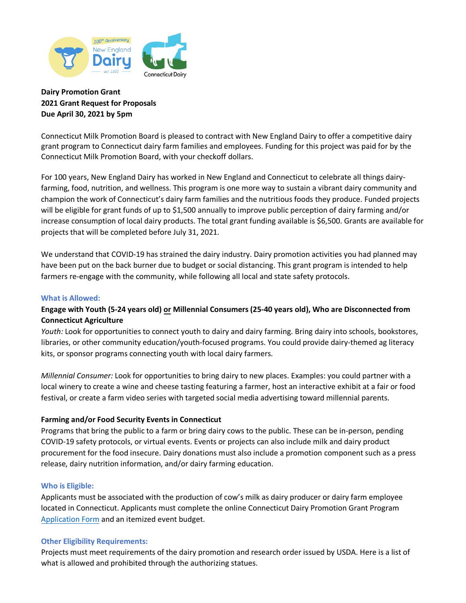

# **Dairy Promotion Grant 2021 Grant Request for Proposals Due April 30, 2021 by 5pm**

Connecticut Milk Promotion Board is pleased to contract with New England Dairy to offer a competitive dairy grant program to Connecticut dairy farm families and employees. Funding for this project was paid for by the Connecticut Milk Promotion Board, with your checkoff dollars.

For 100 years, New England Dairy has worked in New England and Connecticut to celebrate all things dairyfarming, food, nutrition, and wellness. This program is one more way to sustain a vibrant dairy community and champion the work of Connecticut's dairy farm families and the nutritious foods they produce. Funded projects will be eligible for grant funds of up to \$1,500 annually to improve public perception of dairy farming and/or increase consumption of local dairy products. The total grant funding available is \$6,500. Grants are available for projects that will be completed before July 31, 2021.

We understand that COVID-19 has strained the dairy industry. Dairy promotion activities you had planned may have been put on the back burner due to budget or social distancing. This grant program is intended to help farmers re-engage with the community, while following all local and state safety protocols.

## **What is Allowed:**

# **Engage with Youth (5-24 years old) or Millennial Consumers (25-40 years old), Who are Disconnected from Connecticut Agriculture**

*Youth:* Look for opportunities to connect youth to dairy and dairy farming. Bring dairy into schools, bookstores, libraries, or other community education/youth-focused programs. You could provide dairy-themed ag literacy kits, or sponsor programs connecting youth with local dairy farmers.

*Millennial Consumer:* Look for opportunities to bring dairy to new places. Examples: you could partner with a local winery to create a wine and cheese tasting featuring a farmer, host an interactive exhibit at a fair or food festival, or create a farm video series with targeted social media advertising toward millennial parents.

## **Farming and/or Food Security Events in Connecticut**

Programs that bring the public to a farm or bring dairy cows to the public. These can be in-person, pending COVID-19 safety protocols, or virtual events. Events or projects can also include milk and dairy product procurement for the food insecure. Dairy donations must also include a promotion component such as a press release, dairy nutrition information, and/or dairy farming education.

## **Who is Eligible:**

Applicants must be associated with the production of cow's milk as dairy producer or dairy farm employee located in Connecticut. Applicants must complete the online Connecticut Dairy Promotion Grant Program [Application Form](https://forms.office.com/Pages/ResponsePage.aspx?id=_2_qmgX1sEu9I8IXgfgX05mTq7v6OsBFucP5BX30KqVUMzJGNk0zSEtaTkhJSjQ4S1JaSUZIM1Q5QS4u) and an itemized event budget.

## **Other Eligibility Requirements:**

Projects must meet requirements of the dairy promotion and research order issued by USDA. Here is a list of what is allowed and prohibited through the authorizing statues.